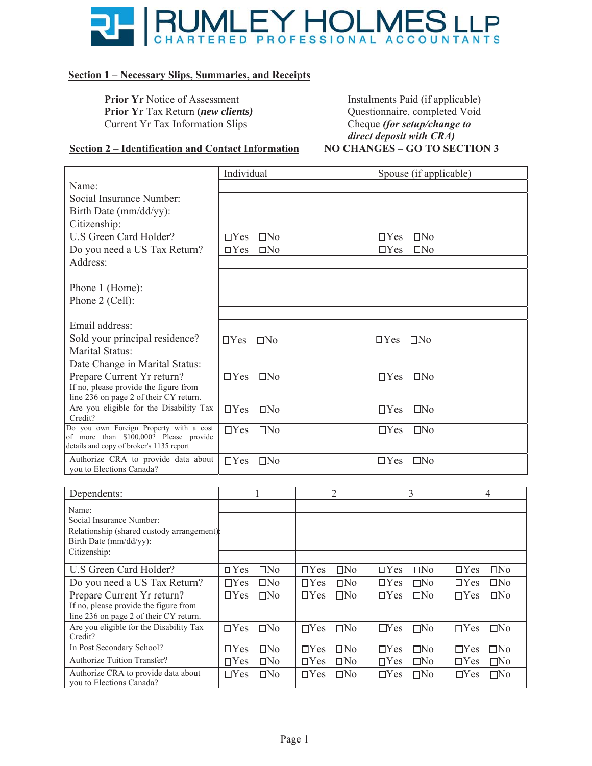

#### **Section 1 – Necessary Slips, Summaries, and Receipts**

**Prior Yr Notice of Assessment Prior Yr** Tax Return *(new clients)* Current Yr Tax Information Slips

Instalments Paid (if applicable) Questionnaire, completed Void Cheque (for setup/change to *direct deposit with CRA)*<br>NO CHANGES – GO TO SECTION 3

#### **<u>Section 2 – Identification and Contact Information</u>**

|                                                                                    | Individual                    | Spouse (if applicable)        |
|------------------------------------------------------------------------------------|-------------------------------|-------------------------------|
| Name:                                                                              |                               |                               |
| Social Insurance Number:                                                           |                               |                               |
| Birth Date (mm/dd/yy):                                                             |                               |                               |
| Citizenship:                                                                       |                               |                               |
| U.S Green Card Holder?                                                             | $\Box$ No<br>$\Box$ Yes       | $\Box$ No<br>$\Box$ Yes       |
| Do you need a US Tax Return?                                                       | $\Box$ Yes<br>$\square$ No    | $\Box$ Yes<br>$\Box$ No       |
| Address:                                                                           |                               |                               |
|                                                                                    |                               |                               |
| Phone 1 (Home):                                                                    |                               |                               |
| Phone 2 (Cell):                                                                    |                               |                               |
|                                                                                    |                               |                               |
| Email address:                                                                     |                               |                               |
| Sold your principal residence?                                                     | $\Box$ No<br>$\Box$ Yes       | $\Box$ Yes<br>$\Box$ No       |
| Marital Status:                                                                    |                               |                               |
| Date Change in Marital Status:                                                     |                               |                               |
| Prepare Current Yr return?                                                         | IN <sub>0</sub><br>$\Box$ Yes | $\Box$ Yes<br>IN <sub>0</sub> |
| If no, please provide the figure from                                              |                               |                               |
| line 236 on page 2 of their CY return.<br>Are you eligible for the Disability Tax  | $\Box$ Yes<br>IN <sub>0</sub> | IN <sub>0</sub><br>$\Box$ Yes |
| Credit?                                                                            |                               |                               |
| Do you own Foreign Property with a cost                                            | $\Box$ No<br>$\Box$ Yes       | $\Box$ Yes<br>IN <sub>0</sub> |
| of more than \$100,000? Please provide<br>details and copy of broker's 1135 report |                               |                               |
| Authorize CRA to provide data about<br>vou to Elections Canada?                    | $\Box$ No<br>$\Box$ Yes       | $\Box$ Yes<br>IN <sub>0</sub> |

| Dependents:                                                     |                               | 2                             | 3                             | 4                             |
|-----------------------------------------------------------------|-------------------------------|-------------------------------|-------------------------------|-------------------------------|
| Name:                                                           |                               |                               |                               |                               |
| Social Insurance Number:                                        |                               |                               |                               |                               |
| Relationship (shared custody arrangement):                      |                               |                               |                               |                               |
| Birth Date (mm/dd/yy):                                          |                               |                               |                               |                               |
| Citizenship:                                                    |                               |                               |                               |                               |
| U.S Green Card Holder?                                          | IN <sub>0</sub><br>$\Box$ Yes | $\Box$ Yes<br>$\Box$ No       | $\Box$ Yes<br>IN <sub>0</sub> | $\Box$ Yes<br>IN <sub>0</sub> |
| Do you need a US Tax Return?                                    | DN <sub>0</sub><br>$\Box$ Yes | $\Box$ Yes<br>IN <sub>0</sub> | $\Box$ Yes<br>$\square$ No    | $\Box$ No<br>$\Box$ Yes       |
| Prepare Current Yr return?                                      | $\Box$ Yes<br>$\Box$ No       | $\Box$ Yes<br>$\Box$ No       | $\Box$ Yes<br>$\Box$ No       | $\Box$ Yes<br>$\Box$ No       |
| If no, please provide the figure from                           |                               |                               |                               |                               |
| line 236 on page 2 of their CY return.                          |                               |                               |                               |                               |
| Are you eligible for the Disability Tax<br>Credit?              | $\Box$ Yes<br>$\square$ No    | $\Box$ Yes<br>$\Box$ No       | $\Box$ Yes<br>$\Box$ No       | $\Box$ Yes<br>$\square$ No    |
| In Post Secondary School?                                       | $\Box$ Yes<br>$\Box$ No       | $\Box$ Yes<br>$\Box$ No       | $\Box$ Yes<br>$\square$ No    | $\Box$ Yes<br>$\Box$ No       |
| <b>Authorize Tuition Transfer?</b>                              | IN <sub>0</sub><br>$\Box$ Yes | $\Box$ Yes<br>$\Box$ No       | $\Box$ Yes<br>$\Box$ No       | $\square$ No<br>$\Box$ Yes    |
| Authorize CRA to provide data about<br>you to Elections Canada? | $\Box$ Yes<br>$\Box$ No       | $\Box$ Yes<br>$\Box$ No       | $\Box$ Yes<br>$\Box$ No       | $\square$ No<br>$\Box$ Yes    |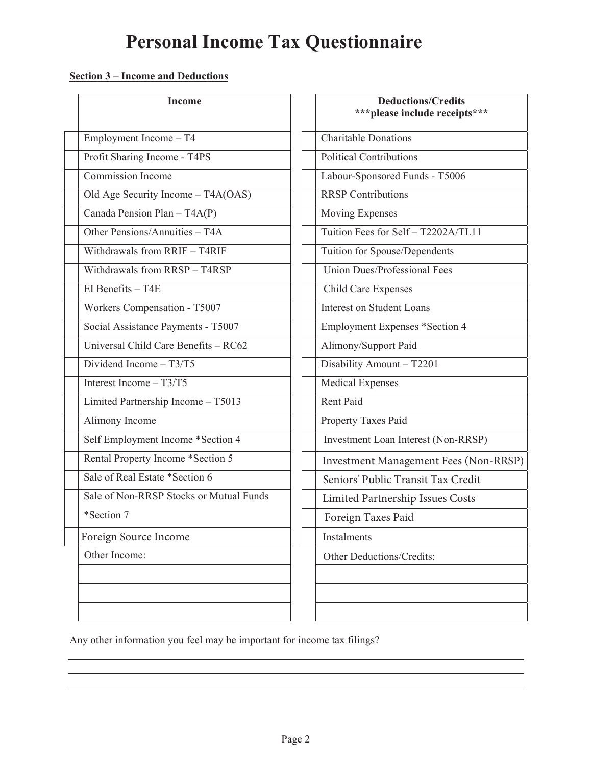# **Personal Income Tax Questionnaire**

### **Section 3 – Income and Deductions**

| <b>Income</b>                           | <b>Deductions/Credits</b><br>*** please include receipts *** |
|-----------------------------------------|--------------------------------------------------------------|
| Employment Income - T4                  | <b>Charitable Donations</b>                                  |
| Profit Sharing Income - T4PS            | <b>Political Contributions</b>                               |
| <b>Commission Income</b>                | Labour-Sponsored Funds - T5006                               |
| Old Age Security Income - T4A(OAS)      | <b>RRSP</b> Contributions                                    |
| Canada Pension Plan - T4A(P)            | Moving Expenses                                              |
| Other Pensions/Annuities - T4A          | Tuition Fees for Self - T2202A/TL11                          |
| Withdrawals from RRIF - T4RIF           | Tuition for Spouse/Dependents                                |
| Withdrawals from RRSP - T4RSP           | Union Dues/Professional Fees                                 |
| EI Benefits $-$ T4E                     | Child Care Expenses                                          |
| Workers Compensation - T5007            | <b>Interest on Student Loans</b>                             |
| Social Assistance Payments - T5007      | <b>Employment Expenses *Section 4</b>                        |
| Universal Child Care Benefits - RC62    | Alimony/Support Paid                                         |
| Dividend Income $- T3/T5$               | Disability Amount - T2201                                    |
| Interest Income $- T3/T5$               | Medical Expenses                                             |
| Limited Partnership Income - T5013      | Rent Paid                                                    |
| Alimony Income                          | Property Taxes Paid                                          |
| Self Employment Income *Section 4       | Investment Loan Interest (Non-RRSP)                          |
| Rental Property Income *Section 5       | Investment Management Fees (Nor                              |
| Sale of Real Estate *Section 6          | Seniors' Public Transit Tax Credit                           |
| Sale of Non-RRSP Stocks or Mutual Funds | Limited Partnership Issues Costs                             |
| *Section 7                              | Foreign Taxes Paid                                           |
| Foreign Source Income                   | Instalments                                                  |
| Other Income:                           | Other Deductions/Credits:                                    |
|                                         |                                                              |
|                                         |                                                              |
|                                         |                                                              |

| <b>Income</b>                 | <b>Deductions/Credits</b><br>*** please include receipts*** |
|-------------------------------|-------------------------------------------------------------|
| $e - \overline{T4}$           | <b>Charitable Donations</b>                                 |
| $n_e$ - T <sub>4</sub> PS     | Political Contributions                                     |
| e                             | Labour-Sponsored Funds - T5006                              |
| $name - T4A(OAS)$             | <b>RRSP</b> Contributions                                   |
| $n - T4A(P)$                  | Moving Expenses                                             |
| nuities $- T4A$               | Tuition Fees for Self - T2202A/TL11                         |
| RRIF – T4RIF                  | Tuition for Spouse/Dependents                               |
| RRSP-T4RSP                    | Union Dues/Professional Fees                                |
|                               | <b>Child Care Expenses</b>                                  |
| tion - T5007                  | <b>Interest on Student Loans</b>                            |
| ayments - $\overline{15007}$  | <b>Employment Expenses *Section 4</b>                       |
| e Benefits - RC62             | Alimony/Support Paid                                        |
| T3/T5                         | Disability Amount - T2201                                   |
| $\overline{3/T5}$             | <b>Medical Expenses</b>                                     |
| $\overline{Income} - T5013$   | Rent Paid                                                   |
|                               | Property Taxes Paid                                         |
| ncome *Section 4              | Investment Loan Interest (Non-RRSP)                         |
| ome *Section 5                | <b>Investment Management Fees (Non-RRSP)</b>                |
| *Section 6                    | Seniors' Public Transit Tax Credit                          |
| <b>Stocks or Mutual Funds</b> | Limited Partnership Issues Costs                            |
|                               | Foreign Taxes Paid                                          |
| :ome                          | Instalments                                                 |
|                               | Other Deductions/Credits:                                   |
|                               |                                                             |
|                               |                                                             |
|                               |                                                             |
|                               |                                                             |

Any other information you feel may be important for income tax filings?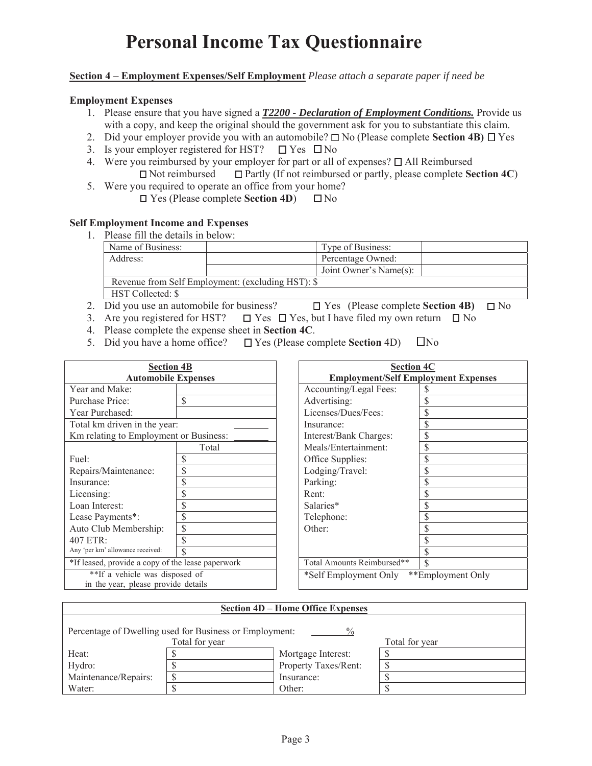## **Personal Income Tax Questionnaire**

#### **Section 4 – Employment Expenses/Self Employment** *Please attach a separate paper if need be*

#### **Employment Expenses**

- 1. Please ensure that you have signed a *T2200 Declaration of Employment Conditions.* Provide us with a copy, and keep the original should the government ask for you to substantiate this claim.
- 2. Did your employer provide you with an automobile?  $\square$  No (Please complete **Section 4B)**  $\square$  Yes
- 3. Is your employer registered for HST?  $\Box$  Yes  $\Box$  No
- 4. Were you reimbursed by your employer for part or all of expenses?  $\Box$  All Reimbursed  $\Box$  Not reimbursed  $\Box$  Partly (If not reimbursed or partly, please complete **Section 4C**)
- 5. Were you required to operate an office from your home?
	- Yes (Please complete **Section 4D**) No

#### **Self Employment Income and Expenses**

| Please fill the details in below: |                                                   |                        |  |
|-----------------------------------|---------------------------------------------------|------------------------|--|
| Name of Business:                 |                                                   | Type of Business:      |  |
| Address:                          |                                                   | Percentage Owned:      |  |
|                                   |                                                   | Joint Owner's Name(s): |  |
|                                   | Revenue from Self Employment: (excluding HST): \$ |                        |  |
| HST Collected: \$                 |                                                   |                        |  |

- 2. Did you use an automobile for business?  $\Box$  Yes (Please complete **Section 4B)**  $\Box$  No
- 3. Are you registered for HST?  $\square$  Yes  $\square$  Yes, but I have filed my own return  $\square$  No
- 4. Please complete the expense sheet in **Section 4C**.
- 5. Did you have a home office?  $\Box$  Yes (Please complete **Section** 4D)  $\Box$  No

| <b>Section 4B</b>                                 |             | <b>Section 4C</b>          |                                            |    |  |
|---------------------------------------------------|-------------|----------------------------|--------------------------------------------|----|--|
| <b>Automobile Expenses</b>                        |             |                            | <b>Employment/Self Employment Expenses</b> |    |  |
| Year and Make:                                    |             |                            | Accounting/Legal Fees:                     |    |  |
| Purchase Price:                                   | S           |                            | Advertising:                               |    |  |
| Year Purchased:                                   |             |                            | Licenses/Dues/Fees:                        | \$ |  |
| Total km driven in the year:                      |             |                            | Insurance:                                 | \$ |  |
| Km relating to Employment or Business:            |             |                            | Interest/Bank Charges:                     | \$ |  |
|                                                   | Total       |                            | Meals/Entertainment:                       | \$ |  |
| Fuel:                                             |             |                            | Office Supplies:                           |    |  |
| Repairs/Maintenance:                              |             |                            | Lodging/Travel:                            | \$ |  |
| Insurance:                                        | \$          |                            | Parking:                                   | \$ |  |
| Licensing:                                        | S           |                            | Rent:                                      |    |  |
| Loan Interest:                                    |             |                            | Salaries*                                  |    |  |
| Lease Payments*:                                  | \$          |                            | Telephone:                                 |    |  |
| Auto Club Membership:                             | \$          |                            | Other:                                     | S  |  |
| $407$ ETR:                                        | \$          |                            |                                            |    |  |
| Any 'per km' allowance received:                  | $\mathbf S$ |                            |                                            |    |  |
| *If leased, provide a copy of the lease paperwork |             | Total Amounts Reimbursed** | \$                                         |    |  |
| **If a vehicle was disposed of                    |             | *Self Employment Only      | **Employment Only                          |    |  |
| in the year, please provide details               |             |                            |                                            |    |  |

| <b>Section 4D – Home Office Expenses</b>                        |  |                      |  |  |  |  |
|-----------------------------------------------------------------|--|----------------------|--|--|--|--|
| Percentage of Dwelling used for Business or Employment:<br>$\%$ |  |                      |  |  |  |  |
| Total for year<br>Total for year                                |  |                      |  |  |  |  |
| Heat:                                                           |  | Mortgage Interest:   |  |  |  |  |
| Hydro:                                                          |  | Property Taxes/Rent: |  |  |  |  |
| Maintenance/Repairs:                                            |  | Insurance:           |  |  |  |  |
| Water:                                                          |  | Other:               |  |  |  |  |